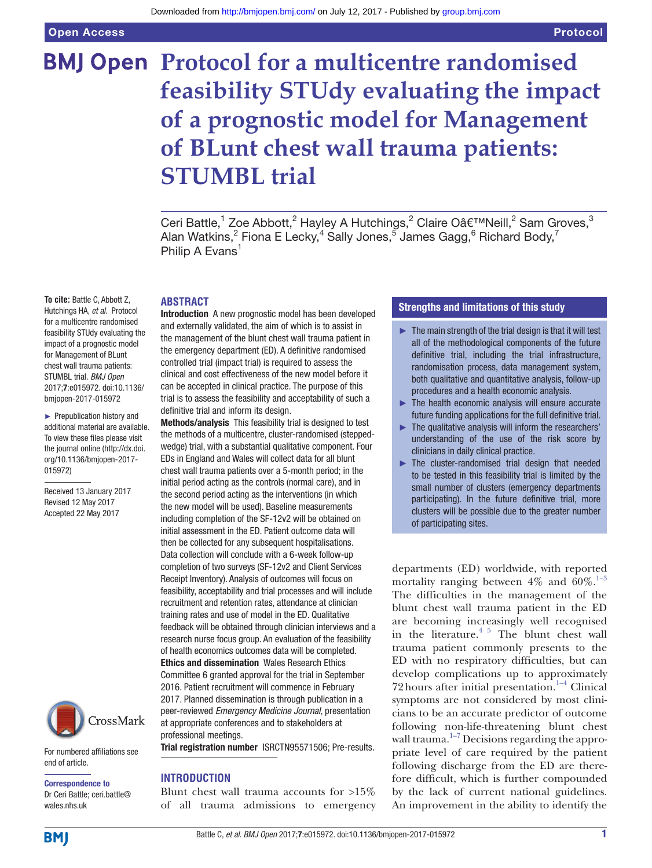# **BMJ Open Protocol for a multicentre randomised feasibility STUdy evaluating the impact of a prognostic model for Management of BLunt chest wall trauma patients: STUMBL trial**

Ceri Battle,<sup>1</sup> Zoe Abbott,<sup>2</sup> Hayley A Hutchings,<sup>2</sup> Claire O'Neill,<sup>2</sup> Sam Groves,<sup>3</sup> Alan Watkins, $^2$  Fiona E Lecky, $^4$  Sally Jones, $^5$  James Gagg, $^6$  Richard Body, $^7$ Philip A Evans<sup>1</sup>

#### **Abstract**

**To cite:** Battle C, Abbott Z, Hutchings HA, *et al*. Protocol for a multicentre randomised feasibility STUdy evaluating the impact of a prognostic model for Management of BLunt chest wall trauma patients: STUMBL trial. *BMJ Open* 2017;7:e015972. doi:10.1136/ bmjopen-2017-015972

► Prepublication history and additional material are available. To view these files please visit the journal online [\(http://dx.doi.](http://dx.doi.org/10.1136/bmjopen-2017-015972) [org/10.1136/bmjopen-2017-](http://dx.doi.org/10.1136/bmjopen-2017-015972) [015972\)](http://dx.doi.org/10.1136/bmjopen-2017-015972)

Received 13 January 2017 Revised 12 May 2017 Accepted 22 May 2017



For numbered affiliations see end of article.

Correspondence to Dr Ceri Battle; ceri.battle@ wales.nhs.uk

Introduction A new prognostic model has been developed and externally validated, the aim of which is to assist in the management of the blunt chest wall trauma patient in the emergency department (ED). A definitive randomised controlled trial (impact trial) is required to assess the clinical and cost effectiveness of the new model before it can be accepted in clinical practice. The purpose of this trial is to assess the feasibility and acceptability of such a definitive trial and inform its design.

Methods/analysis This feasibility trial is designed to test the methods of a multicentre, cluster-randomised (steppedwedge) trial, with a substantial qualitative component. Four EDs in England and Wales will collect data for all blunt chest wall trauma patients over a 5-month period; in the initial period acting as the controls (normal care), and in the second period acting as the interventions (in which the new model will be used). Baseline measurements including completion of the SF-12v2 will be obtained on initial assessment in the ED. Patient outcome data will then be collected for any subsequent hospitalisations. Data collection will conclude with a 6-week follow-up completion of two surveys (SF-12v2 and Client Services Receipt Inventory). Analysis of outcomes will focus on feasibility, acceptability and trial processes and will include recruitment and retention rates, attendance at clinician training rates and use of model in the ED. Qualitative feedback will be obtained through clinician interviews and a research nurse focus group. An evaluation of the feasibility of health economics outcomes data will be completed. Ethics and dissemination Wales Research Ethics Committee 6 granted approval for the trial in September 2016. Patient recruitment will commence in February 2017. Planned dissemination is through publication in a peer-reviewed *Emergency Medicine Journal*, presentation at appropriate conferences and to stakeholders at professional meetings.

Trial registration number ISRCTN95571506; Pre-results.

#### **Introduction**

Blunt chest wall trauma accounts for >15% of all trauma admissions to emergency

#### Strengths and limitations of this study

- $\blacktriangleright$  The main strength of the trial design is that it will test all of the methodological components of the future definitive trial, including the trial infrastructure, randomisation process, data management system, both qualitative and quantitative analysis, follow-up procedures and a health economic analysis.
- $\blacktriangleright$  The health economic analysis will ensure accurate future funding applications for the full definitive trial.
- ► The qualitative analysis will inform the researchers' understanding of the use of the risk score by clinicians in daily clinical practice.
- ► The cluster-randomised trial design that needed to be tested in this feasibility trial is limited by the small number of clusters (emergency departments participating). In the future definitive trial, more clusters will be possible due to the greater number of participating sites.

departments (ED) worldwide, with reported mortality ranging between  $4\%$  and  $60\%$ .<sup>[1–3](#page-5-0)</sup> The difficulties in the management of the blunt chest wall trauma patient in the ED are becoming increasingly well recognised in the literature. $4\frac{5}{2}$  The blunt chest wall trauma patient commonly presents to the ED with no respiratory difficulties, but can develop complications up to approximately 72 hours after initial presentation. $1-4$  Clinical symptoms are not considered by most clinicians to be an accurate predictor of outcome following non-life-threatening blunt chest wall trauma. $1-7$  Decisions regarding the appropriate level of care required by the patient following discharge from the ED are therefore difficult, which is further compounded by the lack of current national guidelines. An improvement in the ability to identify the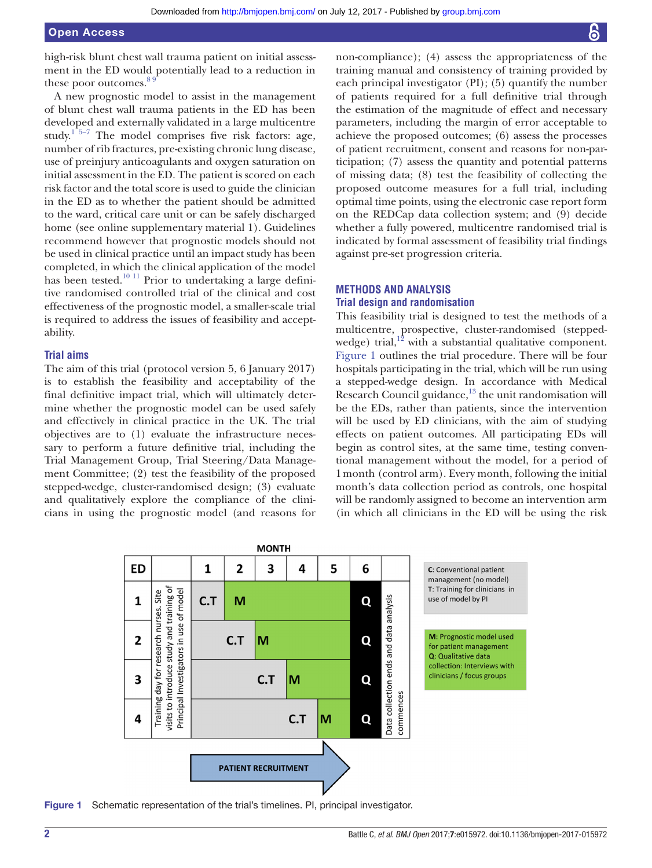high-risk blunt chest wall trauma patient on initial assessment in the ED would potentially lead to a reduction in these poor outcomes.<sup>89</sup>

A new prognostic model to assist in the management of blunt chest wall trauma patients in the ED has been developed and externally validated in a large multicentre study.<sup>1 5–7</sup> The model comprises five risk factors: age, number of rib fractures, pre-existing chronic lung disease, use of preinjury anticoagulants and oxygen saturation on initial assessment in the ED. The patient is scored on each risk factor and the total score is used to guide the clinician in the ED as to whether the patient should be admitted to the ward, critical care unit or can be safely discharged home (see online [supplementary material 1\)](https://dx.doi.org/10.1136/bmjopen-2017-015972). Guidelines recommend however that prognostic models should not be used in clinical practice until an impact study has been completed, in which the clinical application of the model has been tested.<sup>[10 11](#page-5-3)</sup> Prior to undertaking a large definitive randomised controlled trial of the clinical and cost effectiveness of the prognostic model, a smaller-scale trial is required to address the issues of feasibility and acceptability.

#### **Trial aims**

The aim of this trial (protocol version 5, 6 January 2017) is to establish the feasibility and acceptability of the final definitive impact trial, which will ultimately determine whether the prognostic model can be used safely and effectively in clinical practice in the UK. The trial objectives are to (1) evaluate the infrastructure necessary to perform a future definitive trial, including the Trial Management Group, Trial Steering/Data Management Committee; (2) test the feasibility of the proposed stepped-wedge, cluster-randomised design; (3) evaluate and qualitatively explore the compliance of the clinicians in using the prognostic model (and reasons for non-compliance); (4) assess the appropriateness of the training manual and consistency of training provided by each principal investigator (PI); (5) quantify the number of patients required for a full definitive trial through the estimation of the magnitude of effect and necessary parameters, including the margin of error acceptable to achieve the proposed outcomes; (6) assess the processes of patient recruitment, consent and reasons for non-participation; (7) assess the quantity and potential patterns of missing data; (8) test the feasibility of collecting the proposed outcome measures for a full trial, including optimal time points, using the electronic case report form on the REDCap data collection system; and (9) decide whether a fully powered, multicentre randomised trial is indicated by formal assessment of feasibility trial findings against pre-set progression criteria.

### **Methods and analysis**

#### **Trial design and randomisation**

This feasibility trial is designed to test the methods of a multicentre, prospective, cluster-randomised (steppedwedge) trial, $12$  with a substantial qualitative component. [Figure](#page-1-0) 1 outlines the trial procedure. There will be four hospitals participating in the trial, which will be run using a stepped-wedge design. In accordance with Medical Research Council guidance, $13$  the unit randomisation will be the EDs, rather than patients, since the intervention will be used by ED clinicians, with the aim of studying effects on patient outcomes. All participating EDs will begin as control sites, at the same time, testing conventional management without the model, for a period of 1month (control arm). Every month, following the initial month's data collection period as controls, one hospital will be randomly assigned to become an intervention arm (in which all clinicians in the ED will be using the risk



<span id="page-1-0"></span>Figure 1 Schematic representation of the trial's timelines. PI, principal investigator.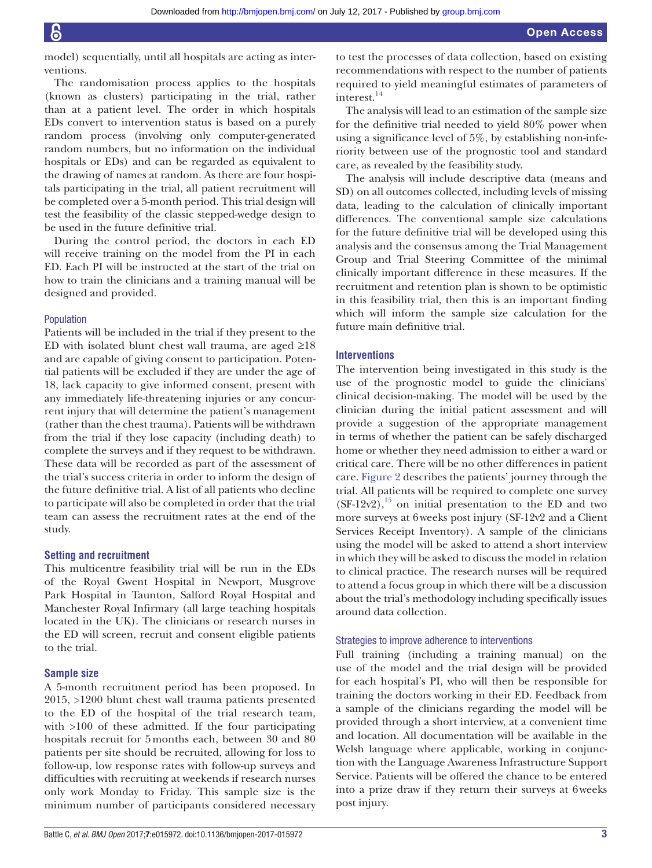model) sequentially, until all hospitals are acting as interventions.

The randomisation process applies to the hospitals (known as clusters) participating in the trial, rather than at a patient level. The order in which hospitals EDs convert to intervention status is based on a purely random process (involving only computer-generated random numbers, but no information on the individual hospitals or EDs) and can be regarded as equivalent to the drawing of names at random. As there are four hospitals participating in the trial, all patient recruitment will be completed over a 5-month period. This trial design will test the feasibility of the classic stepped-wedge design to be used in the future definitive trial.

During the control period, the doctors in each ED will receive training on the model from the PI in each ED. Each PI will be instructed at the start of the trial on how to train the clinicians and a training manual will be designed and provided.

#### Population

Patients will be included in the trial if they present to the ED with isolated blunt chest wall trauma, are aged ≥18 and are capable of giving consent to participation. Potential patients will be excluded if they are under the age of 18, lack capacity to give informed consent, present with any immediately life-threatening injuries or any concurrent injury that will determine the patient's management (rather than the chest trauma). Patients will be withdrawn from the trial if they lose capacity (including death) to complete the surveys and if they request to be withdrawn. These data will be recorded as part of the assessment of the trial's success criteria in order to inform the design of the future definitive trial. A list of all patients who decline to participate will also be completed in order that the trial team can assess the recruitment rates at the end of the study.

#### **Setting and recruitment**

This multicentre feasibility trial will be run in the EDs of the Royal Gwent Hospital in Newport, Musgrove Park Hospital in Taunton, Salford Royal Hospital and Manchester Royal Infirmary (all large teaching hospitals located in the UK). The clinicians or research nurses in the ED will screen, recruit and consent eligible patients to the trial.

#### **Sample size**

A 5-month recruitment period has been proposed. In 2015, >1200 blunt chest wall trauma patients presented to the ED of the hospital of the trial research team, with >100 of these admitted. If the four participating hospitals recruit for 5months each, between 30 and 80 patients per site should be recruited, allowing for loss to follow-up, low response rates with follow-up surveys and difficulties with recruiting at weekends if research nurses only work Monday to Friday. This sample size is the minimum number of participants considered necessary

to test the processes of data collection, based on existing recommendations with respect to the number of patients required to yield meaningful estimates of parameters of interest.<sup>[14](#page-6-1)</sup>

The analysis will lead to an estimation of the sample size for the definitive trial needed to yield 80% power when using a significance level of 5%, by establishing non-inferiority between use of the prognostic tool and standard care, as revealed by the feasibility study.

The analysis will include descriptive data (means and SD) on all outcomes collected, including levels of missing data, leading to the calculation of clinically important differences. The conventional sample size calculations for the future definitive trial will be developed using this analysis and the consensus among the Trial Management Group and Trial Steering Committee of the minimal clinically important difference in these measures. If the recruitment and retention plan is shown to be optimistic in this feasibility trial, then this is an important finding which will inform the sample size calculation for the future main definitive trial.

#### **Interventions**

The intervention being investigated in this study is the use of the prognostic model to guide the clinicians' clinical decision-making. The model will be used by the clinician during the initial patient assessment and will provide a suggestion of the appropriate management in terms of whether the patient can be safely discharged home or whether they need admission to either a ward or critical care. There will be no other differences in patient care. [Figure](#page-3-0) 2 describes the patients' journey through the trial. All patients will be required to complete one survey  $(SF-12v2)$ ,<sup>15</sup> on initial presentation to the ED and two more surveys at 6weeks post injury (SF-12v2 and a Client Services Receipt Inventory). A sample of the clinicians using the model will be asked to attend a short interview in which they will be asked to discuss the model in relation to clinical practice. The research nurses will be required to attend a focus group in which there will be a discussion about the trial's methodology including specifically issues around data collection.

#### Strategies to improve adherence to interventions

Full training (including a training manual) on the use of the model and the trial design will be provided for each hospital's PI, who will then be responsible for training the doctors working in their ED. Feedback from a sample of the clinicians regarding the model will be provided through a short interview, at a convenient time and location. All documentation will be available in the Welsh language where applicable, working in conjunction with the Language Awareness Infrastructure Support Service. Patients will be offered the chance to be entered into a prize draw if they return their surveys at 6weeks post injury.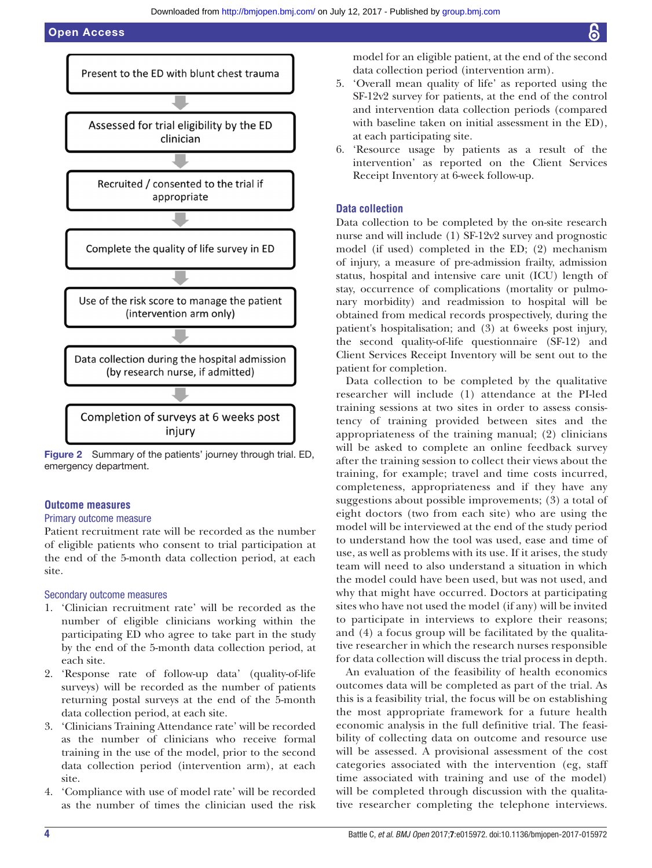

<span id="page-3-0"></span>Figure 2 Summary of the patients' journey through trial. ED, emergency department.

#### **Outcome measures**

#### Primary outcome measure

Patient recruitment rate will be recorded as the number of eligible patients who consent to trial participation at the end of the 5-month data collection period, at each site.

#### Secondary outcome measures

- 1. 'Clinician recruitment rate' will be recorded as the number of eligible clinicians working within the participating ED who agree to take part in the study by the end of the 5-month data collection period, at each site.
- 2. 'Response rate of follow-up data' (quality-of-life surveys) will be recorded as the number of patients returning postal surveys at the end of the 5-month data collection period, at each site.
- 3. 'Clinicians Training Attendance rate' will be recorded as the number of clinicians who receive formal training in the use of the model, prior to the second data collection period (intervention arm), at each site.
- 4. 'Compliance with use of model rate' will be recorded as the number of times the clinician used the risk

model for an eligible patient, at the end of the second data collection period (intervention arm).

- 5. 'Overall mean quality of life' as reported using the SF-12v2 survey for patients, at the end of the control and intervention data collection periods (compared with baseline taken on initial assessment in the ED), at each participating site.
- 6. 'Resource usage by patients as a result of the intervention' as reported on the Client Services Receipt Inventory at 6-week follow-up.

#### **Data collection**

Data collection to be completed by the on-site research nurse and will include (1) SF-12v2 survey and prognostic model (if used) completed in the ED; (2) mechanism of injury, a measure of pre-admission frailty, admission status, hospital and intensive care unit (ICU) length of stay, occurrence of complications (mortality or pulmonary morbidity) and readmission to hospital will be obtained from medical records prospectively, during the patient's hospitalisation; and (3) at 6weeks post injury, the second quality-of-life questionnaire (SF-12) and Client Services Receipt Inventory will be sent out to the patient for completion.

Data collection to be completed by the qualitative researcher will include (1) attendance at the PI-led training sessions at two sites in order to assess consistency of training provided between sites and the appropriateness of the training manual; (2) clinicians will be asked to complete an online feedback survey after the training session to collect their views about the training, for example; travel and time costs incurred, completeness, appropriateness and if they have any suggestions about possible improvements; (3) a total of eight doctors (two from each site) who are using the model will be interviewed at the end of the study period to understand how the tool was used, ease and time of use, as well as problems with its use. If it arises, the study team will need to also understand a situation in which the model could have been used, but was not used, and why that might have occurred. Doctors at participating sites who have not used the model (if any) will be invited to participate in interviews to explore their reasons; and (4) a focus group will be facilitated by the qualitative researcher in which the research nurses responsible for data collection will discuss the trial process in depth.

An evaluation of the feasibility of health economics outcomes data will be completed as part of the trial. As this is a feasibility trial, the focus will be on establishing the most appropriate framework for a future health economic analysis in the full definitive trial. The feasibility of collecting data on outcome and resource use will be assessed. A provisional assessment of the cost categories associated with the intervention (eg, staff time associated with training and use of the model) will be completed through discussion with the qualitative researcher completing the telephone interviews.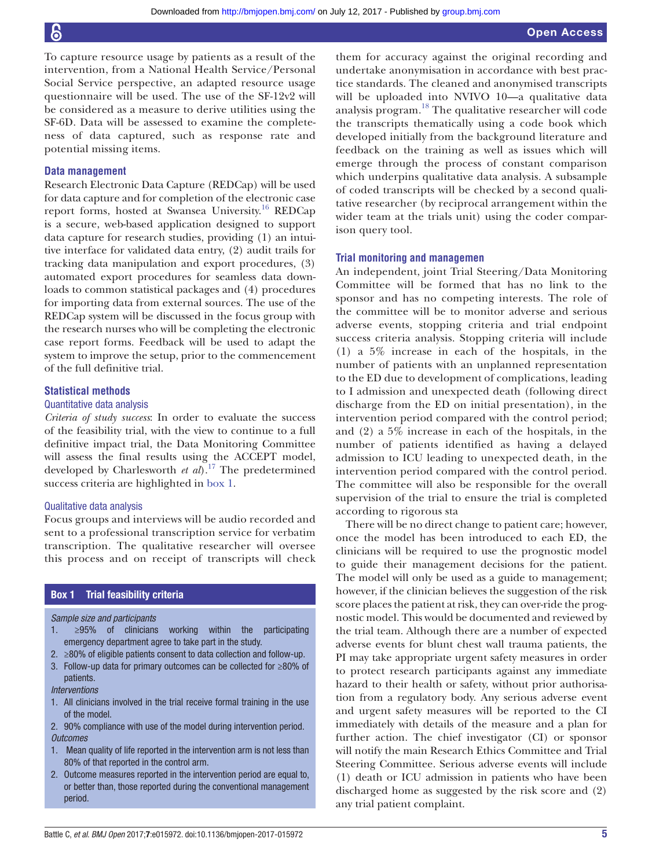To capture resource usage by patients as a result of the intervention, from a National Health Service/Personal Social Service perspective, an adapted resource usage questionnaire will be used. The use of the SF-12v2 will be considered as a measure to derive utilities using the SF-6D. Data will be assessed to examine the completeness of data captured, such as response rate and potential missing items.

#### **Data management**

Research Electronic Data Capture (REDCap) will be used for data capture and for completion of the electronic case report forms, hosted at Swansea University.[16](#page-6-3) REDCap is a secure, web-based application designed to support data capture for research studies, providing (1) an intuitive interface for validated data entry, (2) audit trails for tracking data manipulation and export procedures, (3) automated export procedures for seamless data downloads to common statistical packages and (4) procedures for importing data from external sources. The use of the REDCap system will be discussed in the focus group with the research nurses who will be completing the electronic case report forms. Feedback will be used to adapt the system to improve the setup, prior to the commencement of the full definitive trial.

#### **Statistical methods**

#### Quantitative data analysis

*Criteria of study success*: In order to evaluate the success of the feasibility trial, with the view to continue to a full definitive impact trial, the Data Monitoring Committee will assess the final results using the ACCEPT model, developed by Charlesworth *et al*).[17](#page-6-4) The predetermined success criteria are highlighted in [box](#page-4-0) 1.

#### Qualitative data analysis

Focus groups and interviews will be audio recorded and sent to a professional transcription service for verbatim transcription. The qualitative researcher will oversee this process and on receipt of transcripts will check

#### Box 1 Trial feasibility criteria

<span id="page-4-0"></span>*Sample size and participants*

- 1. ≥95% of clinicians working within the participating emergency department agree to take part in the study.
- 2. ≥80% of eligible patients consent to data collection and follow-up.
- 3. Follow-up data for primary outcomes can be collected for ≥80% of patients.

*Interventions*

- 1. All clinicians involved in the trial receive formal training in the use of the model.
- 2. 90% compliance with use of the model during intervention period. *Outcomes*
- 1. Mean quality of life reported in the intervention arm is not less than 80% of that reported in the control arm.
- 2. Outcome measures reported in the intervention period are equal to, or better than, those reported during the conventional management period.

them for accuracy against the original recording and undertake anonymisation in accordance with best practice standards. The cleaned and anonymised transcripts will be uploaded into NVIVO 10—a qualitative data analysis program.[18](#page-6-5) The qualitative researcher will code the transcripts thematically using a code book which developed initially from the background literature and feedback on the training as well as issues which will emerge through the process of constant comparison which underpins qualitative data analysis. A subsample of coded transcripts will be checked by a second qualitative researcher (by reciprocal arrangement within the wider team at the trials unit) using the coder comparison query tool.

#### **Trial monitoring and managemen**

Downloaded from<http://bmjopen.bmj.com/>on July 12, 2017 - Published by [group.bmj.com](http://group.bmj.com)

An independent, joint Trial Steering/Data Monitoring Committee will be formed that has no link to the sponsor and has no competing interests. The role of the committee will be to monitor adverse and serious adverse events, stopping criteria and trial endpoint success criteria analysis. Stopping criteria will include (1) a 5% increase in each of the hospitals, in the number of patients with an unplanned representation to the ED due to development of complications, leading to I admission and unexpected death (following direct discharge from the ED on initial presentation), in the intervention period compared with the control period; and (2) a 5% increase in each of the hospitals, in the number of patients identified as having a delayed admission to ICU leading to unexpected death, in the intervention period compared with the control period. The committee will also be responsible for the overall supervision of the trial to ensure the trial is completed according to rigorous sta

There will be no direct change to patient care; however, once the model has been introduced to each ED, the clinicians will be required to use the prognostic model to guide their management decisions for the patient. The model will only be used as a guide to management; however, if the clinician believes the suggestion of the risk score places the patient at risk, they can over-ride the prognostic model. This would be documented and reviewed by the trial team. Although there are a number of expected adverse events for blunt chest wall trauma patients, the PI may take appropriate urgent safety measures in order to protect research participants against any immediate hazard to their health or safety, without prior authorisation from a regulatory body. Any serious adverse event and urgent safety measures will be reported to the CI immediately with details of the measure and a plan for further action. The chief investigator (CI) or sponsor will notify the main Research Ethics Committee and Trial Steering Committee. Serious adverse events will include (1) death or ICU admission in patients who have been discharged home as suggested by the risk score and (2) any trial patient complaint.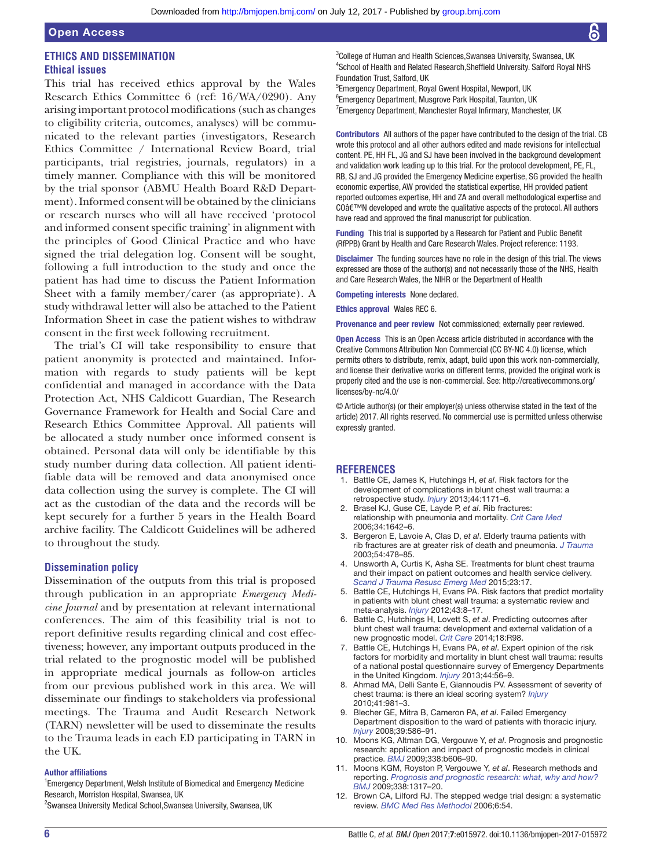#### **Ethics and dissemination Ethical issues**

This trial has received ethics approval by the Wales Research Ethics Committee 6 (ref: 16/WA/0290). Any arising important protocol modifications (such as changes to eligibility criteria, outcomes, analyses) will be communicated to the relevant parties (investigators, Research Ethics Committee / International Review Board, trial participants, trial registries, journals, regulators) in a timely manner. Compliance with this will be monitored by the trial sponsor (ABMU Health Board R&D Department). Informed consent will be obtained by the clinicians or research nurses who will all have received 'protocol and informed consent specific training' in alignment with the principles of Good Clinical Practice and who have signed the trial delegation log. Consent will be sought, following a full introduction to the study and once the patient has had time to discuss the Patient Information Sheet with a family member/carer (as appropriate). A study withdrawal letter will also be attached to the Patient Information Sheet in case the patient wishes to withdraw consent in the first week following recruitment.

The trial's CI will take responsibility to ensure that patient anonymity is protected and maintained. Information with regards to study patients will be kept confidential and managed in accordance with the Data Protection Act, NHS Caldicott Guardian, The Research Governance Framework for Health and Social Care and Research Ethics Committee Approval. All patients will be allocated a study number once informed consent is obtained. Personal data will only be identifiable by this study number during data collection. All patient identifiable data will be removed and data anonymised once data collection using the survey is complete. The CI will act as the custodian of the data and the records will be kept securely for a further 5 years in the Health Board archive facility. The Caldicott Guidelines will be adhered to throughout the study.

#### **Dissemination policy**

Dissemination of the outputs from this trial is proposed through publication in an appropriate *Emergency Medicine Journal* and by presentation at relevant international conferences. The aim of this feasibility trial is not to report definitive results regarding clinical and cost effectiveness; however, any important outputs produced in the trial related to the prognostic model will be published in appropriate medical journals as follow-on articles from our previous published work in this area. We will disseminate our findings to stakeholders via professional meetings. The Trauma and Audit Research Network (TARN) newsletter will be used to disseminate the results to the Trauma leads in each ED participating in TARN in the UK.

#### Author affiliations

<sup>1</sup> Emergency Department, Welsh Institute of Biomedical and Emergency Medicine Research, Morriston Hospital, Swansea, UK

<sup>2</sup>Swansea University Medical School,Swansea University, Swansea, UK

<sup>3</sup>College of Human and Health Sciences, Swansea University, Swansea, UK 4 School of Health and Related Research,Sheffield University. Salford Royal NHS Foundation Trust, Salford, UK

5 Emergency Department, Royal Gwent Hospital, Newport, UK

6 Emergency Department, Musgrove Park Hospital, Taunton, UK

<sup>7</sup> Emergency Department, Manchester Royal Infirmary, Manchester, UK

Contributors All authors of the paper have contributed to the design of the trial. CB wrote this protocol and all other authors edited and made revisions for intellectual content. PE, HH FL, JG and SJ have been involved in the background development and validation work leading up to this trial. For the protocol development, PE, FL, RB, SJ and JG provided the Emergency Medicine expertise, SG provided the health economic expertise, AW provided the statistical expertise, HH provided patient reported outcomes expertise, HH and ZA and overall methodological expertise and  $CO\hat{a}\epsilon^{\tau m}$ N developed and wrote the qualitative aspects of the protocol. All authors have read and approved the final manuscript for publication.

Funding This trial is supported by a Research for Patient and Public Benefit (RfPPB) Grant by Health and Care Research Wales. Project reference: 1193.

Disclaimer The funding sources have no role in the design of this trial. The views expressed are those of the author(s) and not necessarily those of the NHS, Health and Care Research Wales, the NIHR or the Department of Health

Competing interests None declared.

Ethics approval Wales REC 6.

Provenance and peer review Not commissioned; externally peer reviewed.

Open Access This is an Open Access article distributed in accordance with the Creative Commons Attribution Non Commercial (CC BY-NC 4.0) license, which permits others to distribute, remix, adapt, build upon this work non-commercially, and license their derivative works on different terms, provided the original work is properly cited and the use is non-commercial. See: [http://creativecommons.org/](http://creativecommons.org/licenses/by-nc/4.0/) [licenses/by-nc/4.0/](http://creativecommons.org/licenses/by-nc/4.0/)

© Article author(s) (or their employer(s) unless otherwise stated in the text of the article) 2017. All rights reserved. No commercial use is permitted unless otherwise expressly granted.

#### **References**

- <span id="page-5-0"></span>1. Battle CE, James K, Hutchings H, *et al*. Risk factors for the development of complications in blunt chest wall trauma: a retrospective study. *Injury* 2013;44:1171–6.
- 2. Brasel KJ, Guse CE, Layde P, *et al*. Rib fractures: relationship with pneumonia and mortality. *[Crit Care Med](http://dx.doi.org/10.1097/01.CCM.0000217926.40975.4B)* 2006;34:1642–6.
- 3. Bergeron E, Lavoie A, Clas D, *et al*. Elderly trauma patients with rib fractures are at greater risk of death and pneumonia. *[J Trauma](http://dx.doi.org/10.1097/01.TA.0000037095.83469.4C)* 2003;54:478–85.
- <span id="page-5-1"></span>4. Unsworth A, Curtis K, Asha SE. Treatments for blunt chest trauma and their impact on patient outcomes and health service delivery. *[Scand J Trauma Resusc Emerg Med](http://dx.doi.org/10.1186/s13049-015-0091-5)* 2015;23:17.
- 5. Battle CE, Hutchings H, Evans PA. Risk factors that predict mortality in patients with blunt chest wall trauma: a systematic review and meta-analysis. *[Injury](http://dx.doi.org/10.1016/j.injury.2011.01.004)* 2012;43:8–17.
- 6. Battle C, Hutchings H, Lovett S, *et al*. Predicting outcomes after blunt chest wall trauma: development and external validation of a new prognostic model. *[Crit Care](http://dx.doi.org/10.1186/cc13873)* 2014;18:R98.
- 7. Battle CE, Hutchings H, Evans PA, *et al*. Expert opinion of the risk factors for morbidity and mortality in blunt chest wall trauma: results of a national postal questionnaire survey of Emergency Departments in the United Kingdom. *[Injury](http://dx.doi.org/10.1016/j.injury.2011.12.012)* 2013;44:56–9.
- <span id="page-5-2"></span>8. Ahmad MA, Delli Sante E, Giannoudis PV. Assessment of severity of chest trauma: is there an ideal scoring system? *[Injury](http://dx.doi.org/10.1016/j.injury.2010.08.004)* 2010;41:981–3.
- 9. Blecher GE, Mitra B, Cameron PA, *et al*. Failed Emergency Department disposition to the ward of patients with thoracic injury. *[Injury](http://dx.doi.org/10.1016/j.injury.2007.10.021)* 2008;39:586–91.
- <span id="page-5-3"></span>10. Moons KG, Altman DG, Vergouwe Y, *et al*. Prognosis and prognostic research: application and impact of prognostic models in clinical practice. *[BMJ](http://dx.doi.org/10.1136/bmj.b606)* 2009;338:b606–90.
- 11. Moons KGM, Royston P, Vergouwe Y, *et al*. Research methods and reporting. *Prognosis and prognostic research: what, why and how? BMJ* 2009;338:1317–20.
- <span id="page-5-4"></span>12. Brown CA, Lilford RJ. The stepped wedge trial design: a systematic review. *[BMC Med Res Methodol](http://dx.doi.org/10.1186/1471-2288-6-54)* 2006;6:54.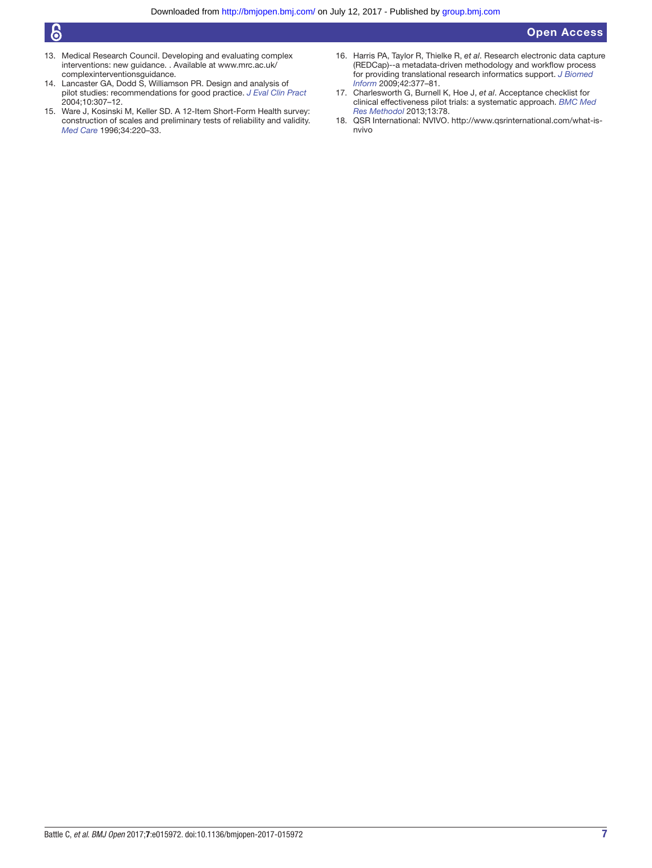# $\epsilon$

- <span id="page-6-0"></span>13. Medical Research Council. Developing and evaluating complex interventions: new guidance. . Available at [www.mrc.ac.uk/](www.mrc.ac.uk/complexinterventionsguidance) [complexinterventionsguidance.](www.mrc.ac.uk/complexinterventionsguidance)
- <span id="page-6-1"></span>14. Lancaster GA, Dodd S, Williamson PR. Design and analysis of pilot studies: recommendations for good practice. *[J Eval Clin Pract](http://dx.doi.org/10.1111/j.2002.384.doc.x)* 2004;10:307–12.
- <span id="page-6-2"></span>15. Ware J, Kosinski M, Keller SD. A 12-Item Short-Form Health survey: construction of scales and preliminary tests of reliability and validity. *Med Care* 1996;34:220–33.
- <span id="page-6-3"></span>16. Harris PA, Taylor R, Thielke R, *et al*. Research electronic data capture (REDCap)--a metadata-driven methodology and workflow process for providing translational research informatics support. *[J Biomed](http://dx.doi.org/10.1016/j.jbi.2008.08.010)  [Inform](http://dx.doi.org/10.1016/j.jbi.2008.08.010)* 2009;42:377–81.
- <span id="page-6-4"></span>17. Charlesworth G, Burnell K, Hoe J, *et al*. Acceptance checklist for clinical effectiveness pilot trials: a systematic approach. *[BMC Med](http://dx.doi.org/10.1186/1471-2288-13-78)  [Res Methodol](http://dx.doi.org/10.1186/1471-2288-13-78)* 2013;13:78.
- <span id="page-6-5"></span>18. QSR International: NVIVO. [http://www.qsrinternational.com/what-is](http://www.qsrinternational.com/what-is-nvivo)[nvivo](http://www.qsrinternational.com/what-is-nvivo)